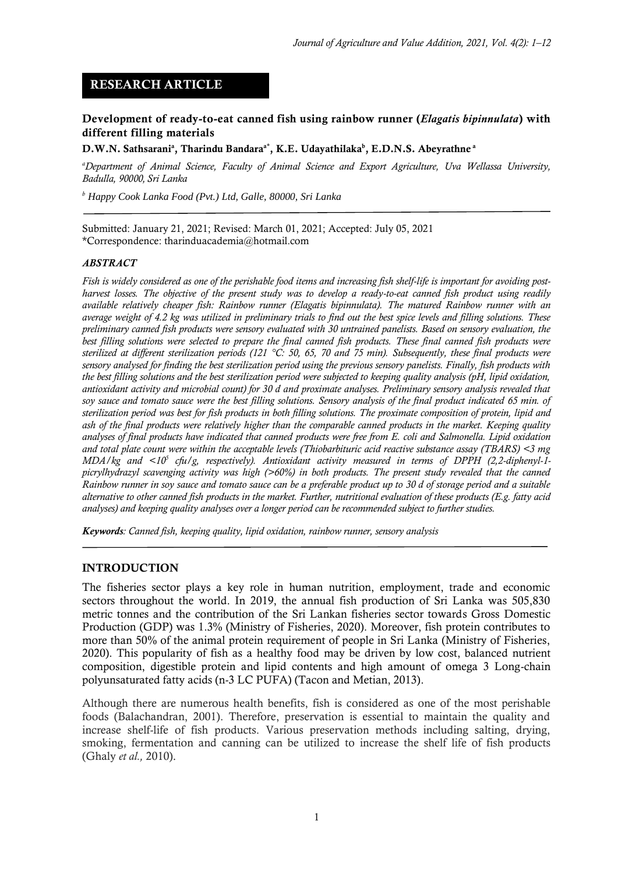# **RESEARCH ARTICLE**

### **Development of ready-to-eat canned fish using rainbow runner (***Elagatis bipinnulata***) with different filling materials**

#### **D.W.N. Sathsarani<sup>a</sup> , Tharindu Bandaraa\* , K.E. Udayathilaka<sup>b</sup> , E.D.N.S. Abeyrathne <sup>a</sup>**

*<sup>a</sup>Department of Animal Science, Faculty of Animal Science and Export Agriculture, Uva Wellassa University, Badulla, 90000, Sri Lanka*

*<sup>b</sup> Happy Cook Lanka Food (Pvt.) Ltd, Galle, 80000, Sri Lanka*

Submitted: January 21, 2021; Revised: March 01, 2021; Accepted: July 05, 2021 \*Correspondence: tharinduacademia@hotmail.com

#### *ABSTRACT*

*Fish is widely considered as one of the perishable food items and increasing fish shelf-life is important for avoiding postharvest losses. The objective of the present study was to develop a ready-to-eat canned fish product using readily available relatively cheaper fish: Rainbow runner (Elagatis bipinnulata). The matured Rainbow runner with an average weight of 4.2 kg was utilized in preliminary trials to find out the best spice levels and filling solutions. These preliminary canned fish products were sensory evaluated with 30 untrained panelists. Based on sensory evaluation, the*  best filling solutions were selected to prepare the final canned fish products. These final canned fish products were *sterilized at different sterilization periods (121 °C: 50, 65, 70 and 75 min). Subsequently, these final products were sensory analysed for finding the best sterilization period using the previous sensory panelists. Finally, fish products with the best filling solutions and the best sterilization period were subjected to keeping quality analysis (pH, lipid oxidation, antioxidant activity and microbial count) for 30 d and proximate analyses. Preliminary sensory analysis revealed that soy sauce and tomato sauce were the best filling solutions. Sensory analysis of the final product indicated 65 min. of sterilization period was best for fish products in both filling solutions. The proximate composition of protein, lipid and ash of the final products were relatively higher than the comparable canned products in the market. Keeping quality analyses of final products have indicated that canned products were free from E. coli and Salmonella. Lipid oxidation and total plate count were within the acceptable levels (Thiobarbituric acid reactive substance assay (TBARS) <3 mg MDA/kg and <10<sup>5</sup> cfu/g, respectively). Antioxidant activity measured in terms of DPPH (2,2-diphenyl-1 picrylhydrazyl scavenging activity was high (>60%) in both products. The present study revealed that the canned Rainbow runner in soy sauce and tomato sauce can be a preferable product up to 30 d of storage period and a suitable alternative to other canned fish products in the market. Further, nutritional evaluation of these products (E.g. fatty acid analyses) and keeping quality analyses over a longer period can be recommended subject to further studies.*

*Keywords: Canned fish, keeping quality, lipid oxidation, rainbow runner, sensory analysis*

#### **INTRODUCTION**

The fisheries sector plays a key role in human nutrition, employment, trade and economic sectors throughout the world. In 2019, the annual fish production of Sri Lanka was 505,830 metric tonnes and the contribution of the Sri Lankan fisheries sector towards Gross Domestic Production (GDP) was 1.3% (Ministry of Fisheries, 2020). Moreover, fish protein contributes to more than 50% of the animal protein requirement of people in Sri Lanka (Ministry of Fisheries, 2020). This popularity of fish as a healthy food may be driven by low cost, balanced nutrient composition, digestible protein and lipid contents and high amount of omega 3 Long-chain polyunsaturated fatty acids (n-3 LC PUFA) (Tacon and Metian, 2013).

Although there are numerous health benefits, fish is considered as one of the most perishable foods (Balachandran, 2001). Therefore, preservation is essential to maintain the quality and increase shelf-life of fish products. Various preservation methods including salting, drying, smoking, fermentation and canning can be utilized to increase the shelf life of fish products (Ghaly *et al.,* 2010).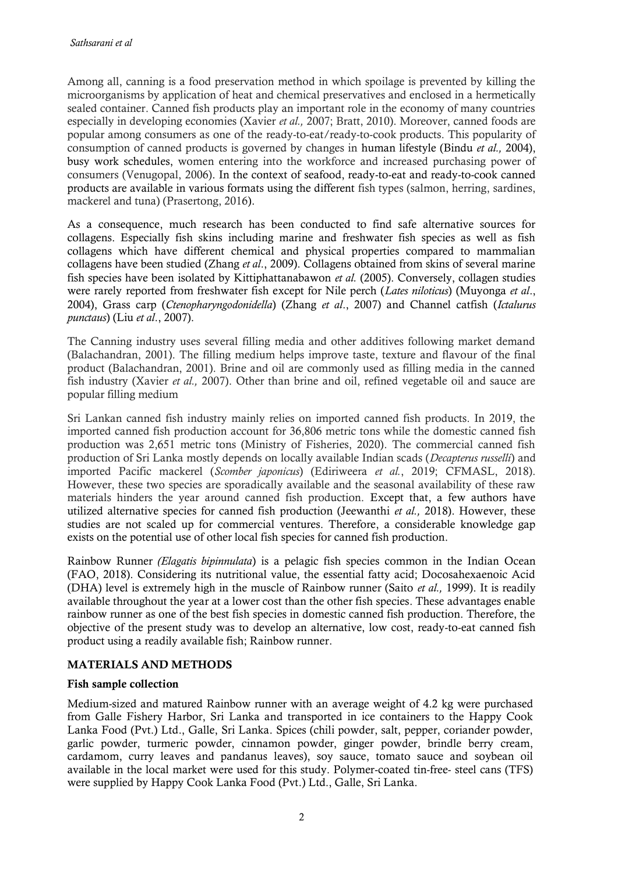Among all, canning is a food preservation method in which spoilage is prevented by killing the microorganisms by application of heat and chemical preservatives and enclosed in a hermetically sealed container. Canned fish products play an important role in the economy of many countries especially in developing economies (Xavier *et al.,* 2007; Bratt, 2010). Moreover, canned foods are popular among consumers as one of the ready-to-eat/ready-to-cook products. This popularity of consumption of canned products is governed by changes in human lifestyle (Bindu *et al.,* 2004), busy work schedules, women entering into the workforce and increased purchasing power of consumers (Venugopal, 2006). In the context of seafood, ready-to-eat and ready-to-cook canned products are available in various formats using the different fish types (salmon, herring, sardines, mackerel and tuna) (Prasertong, 2016).

As a consequence, much research has been conducted to find safe alternative sources for collagens. Especially fish skins including marine and freshwater fish species as well as fish collagens which have different chemical and physical properties compared to mammalian collagens have been studied (Zhang *et al*., 2009). Collagens obtained from skins of several marine fish species have been isolated by Kittiphattanabawon *et al.* (2005). Conversely, collagen studies were rarely reported from freshwater fish except for Nile perch (*Lates niloticus*) (Muyonga *et al*., 2004), Grass carp (*Ctenopharyngodonidella*) (Zhang *et al*., 2007) and Channel catfish (*Ictalurus punctaus*) (Liu *et al*., 2007).

The Canning industry uses several filling media and other additives following market demand (Balachandran, 2001). The filling medium helps improve taste, texture and flavour of the final product (Balachandran, 2001). Brine and oil are commonly used as filling media in the canned fish industry (Xavier *et al.,* 2007). Other than brine and oil, refined vegetable oil and sauce are popular filling medium

Sri Lankan canned fish industry mainly relies on imported canned fish products. In 2019, the imported canned fish production account for 36,806 metric tons while the domestic canned fish production was 2,651 metric tons (Ministry of Fisheries, 2020). The commercial canned fish production of Sri Lanka mostly depends on locally available Indian scads (*Decapterus russelli*) and imported Pacific mackerel (*Scomber japonicus*) (Ediriweera *et al.*, 2019; CFMASL, 2018). However, these two species are sporadically available and the seasonal availability of these raw materials hinders the year around canned fish production. Except that, a few authors have utilized alternative species for canned fish production (Jeewanthi *et al.,* 2018). However, these studies are not scaled up for commercial ventures. Therefore, a considerable knowledge gap exists on the potential use of other local fish species for canned fish production.

Rainbow Runner *(Elagatis bipinnulata*) is a pelagic fish species common in the Indian Ocean (FAO, 2018). Considering its nutritional value, the essential fatty acid; Docosahexaenoic Acid (DHA) level is extremely high in the muscle of Rainbow runner (Saito *et al.,* 1999). It is readily available throughout the year at a lower cost than the other fish species. These advantages enable rainbow runner as one of the best fish species in domestic canned fish production. Therefore, the objective of the present study was to develop an alternative, low cost, ready-to-eat canned fish product using a readily available fish; Rainbow runner.

## **MATERIALS AND METHODS**

### **Fish sample collection**

Medium-sized and matured Rainbow runner with an average weight of 4.2 kg were purchased from Galle Fishery Harbor, Sri Lanka and transported in ice containers to the Happy Cook Lanka Food (Pvt.) Ltd., Galle, Sri Lanka. Spices (chili powder, salt, pepper, coriander powder, garlic powder, turmeric powder, cinnamon powder, ginger powder, brindle berry cream, cardamom, curry leaves and pandanus leaves), soy sauce, tomato sauce and soybean oil available in the local market were used for this study. Polymer-coated tin-free- steel cans (TFS) were supplied by Happy Cook Lanka Food (Pvt.) Ltd., Galle, Sri Lanka.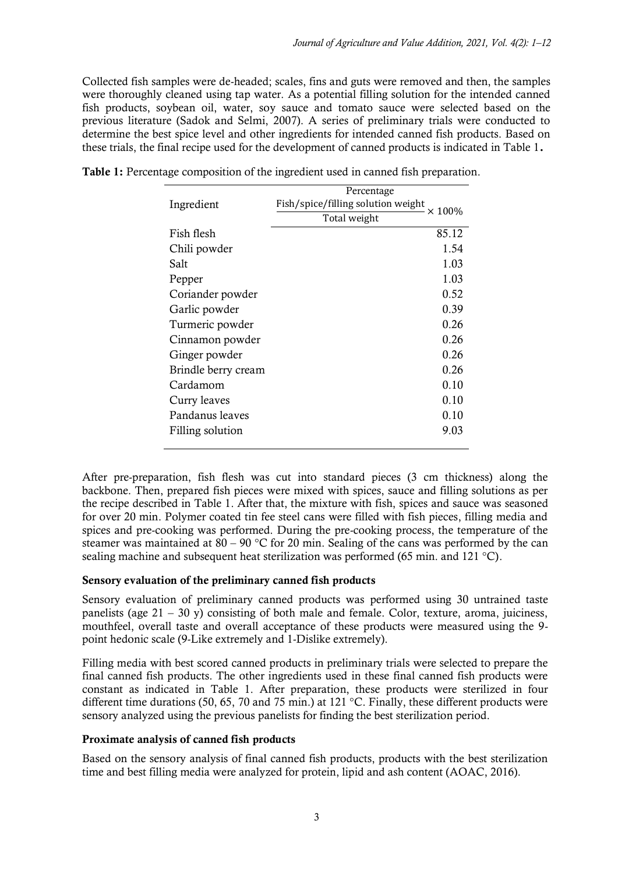Collected fish samples were de-headed; scales, fins and guts were removed and then, the samples were thoroughly cleaned using tap water. As a potential filling solution for the intended canned fish products, soybean oil, water, soy sauce and tomato sauce were selected based on the previous literature (Sadok and Selmi, 2007). A series of preliminary trials were conducted to determine the best spice level and other ingredients for intended canned fish products. Based on these trials, the final recipe used for the development of canned products is indicated in Table 1**.**

|                     | Percentage                         |               |
|---------------------|------------------------------------|---------------|
| Ingredient          | Fish/spice/filling solution weight | $\times$ 100% |
|                     | Total weight                       |               |
| Fish flesh          |                                    | 85.12         |
| Chili powder        |                                    | 1.54          |
| Salt                |                                    | 1.03          |
| Pepper              |                                    | 1.03          |
| Coriander powder    |                                    | 0.52          |
| Garlic powder       |                                    | 0.39          |
| Turmeric powder     |                                    | 0.26          |
| Cinnamon powder     |                                    | 0.26          |
| Ginger powder       |                                    | 0.26          |
| Brindle berry cream |                                    | 0.26          |
| Cardamom            |                                    | 0.10          |
| Curry leaves        |                                    | 0.10          |
| Pandanus leaves     |                                    | 0.10          |
| Filling solution    |                                    | 9.03          |
|                     |                                    |               |

|  | Table 1: Percentage composition of the ingredient used in canned fish preparation. |  |  |  |
|--|------------------------------------------------------------------------------------|--|--|--|
|  |                                                                                    |  |  |  |

After pre-preparation, fish flesh was cut into standard pieces (3 cm thickness) along the backbone. Then, prepared fish pieces were mixed with spices, sauce and filling solutions as per the recipe described in Table 1. After that, the mixture with fish, spices and sauce was seasoned for over 20 min. Polymer coated tin fee steel cans were filled with fish pieces, filling media and spices and pre-cooking was performed. During the pre-cooking process, the temperature of the steamer was maintained at 80 – 90 °C for 20 min. Sealing of the cans was performed by the can sealing machine and subsequent heat sterilization was performed (65 min. and 121 °C).

## **Sensory evaluation of the preliminary canned fish products**

Sensory evaluation of preliminary canned products was performed using 30 untrained taste panelists (age  $21 - 30$  y) consisting of both male and female. Color, texture, aroma, juiciness, mouthfeel, overall taste and overall acceptance of these products were measured using the 9 point hedonic scale (9-Like extremely and 1-Dislike extremely).

Filling media with best scored canned products in preliminary trials were selected to prepare the final canned fish products. The other ingredients used in these final canned fish products were constant as indicated in Table 1. After preparation, these products were sterilized in four different time durations (50, 65, 70 and 75 min.) at 121 °C. Finally, these different products were sensory analyzed using the previous panelists for finding the best sterilization period.

### **Proximate analysis of canned fish products**

Based on the sensory analysis of final canned fish products, products with the best sterilization time and best filling media were analyzed for protein, lipid and ash content (AOAC, 2016).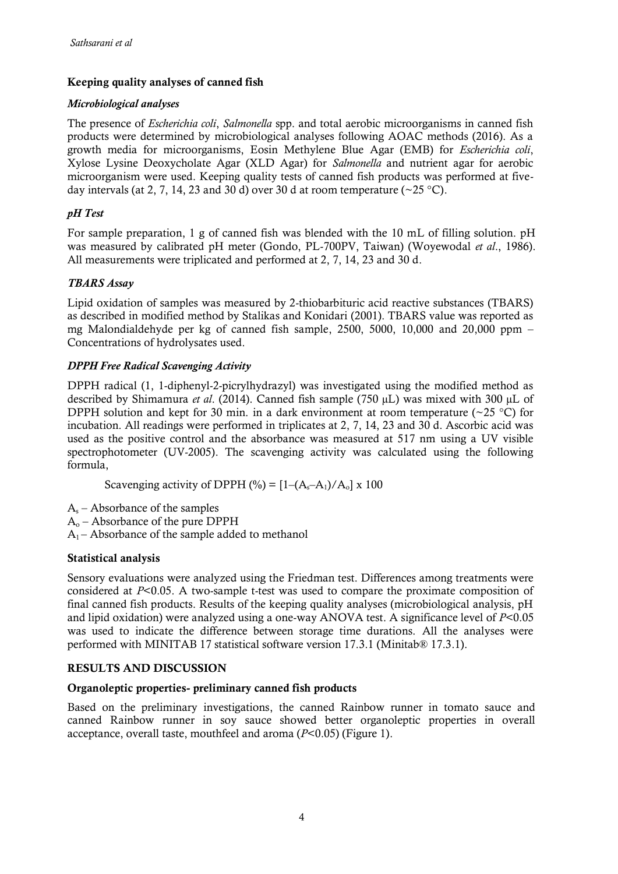# **Keeping quality analyses of canned fish**

## *Microbiological analyses*

The presence of *Escherichia coli*, *Salmonella* spp. and total aerobic microorganisms in canned fish products were determined by microbiological analyses following AOAC methods (2016). As a growth media for microorganisms, Eosin Methylene Blue Agar (EMB) for *Escherichia coli*, Xylose Lysine Deoxycholate Agar (XLD Agar) for *Salmonella* and nutrient agar for aerobic microorganism were used. Keeping quality tests of canned fish products was performed at fiveday intervals (at 2, 7, 14, 23 and 30 d) over 30 d at room temperature ( $\sim$ 25 °C).

## *pH Test*

For sample preparation, 1 g of canned fish was blended with the 10 mL of filling solution. pH was measured by calibrated pH meter (Gondo, PL-700PV, Taiwan) (Woyewodal *et al*., 1986). All measurements were triplicated and performed at 2, 7, 14, 23 and 30 d.

# *TBARS Assay*

Lipid oxidation of samples was measured by 2-thiobarbituric acid reactive substances (TBARS) as described in modified method by Stalikas and Konidari (2001). TBARS value was reported as mg Malondialdehyde per kg of canned fish sample,  $2500, 5000, 10,000$  and  $20,000$  ppm – Concentrations of hydrolysates used.

# *DPPH Free Radical Scavenging Activity*

DPPH radical (1, 1-diphenyl-2-picrylhydrazyl) was investigated using the modified method as described by Shimamura *et al*. (2014). Canned fish sample (750 µL) was mixed with 300 µL of DPPH solution and kept for 30 min. in a dark environment at room temperature ( $\sim$ 25 °C) for incubation. All readings were performed in triplicates at 2, 7, 14, 23 and 30 d. Ascorbic acid was used as the positive control and the absorbance was measured at 517 nm using a UV visible spectrophotometer (UV-2005). The scavenging activity was calculated using the following formula,

Scavenging activity of DPPH  $(\%)= [1-(A_s-A_1)/A_0] \times 100$ 

 $A_s$  – Absorbance of the samples

 $A<sub>o</sub>$  – Absorbance of the pure DPPH

 $A_1$  – Absorbance of the sample added to methanol

## **Statistical analysis**

Sensory evaluations were analyzed using the Friedman test. Differences among treatments were considered at *P*<0.05. A two-sample t-test was used to compare the proximate composition of final canned fish products. Results of the keeping quality analyses (microbiological analysis, pH and lipid oxidation) were analyzed using a one-way ANOVA test. A significance level of *P*<0.05 was used to indicate the difference between storage time durations. All the analyses were performed with MINITAB 17 statistical software version 17.3.1 (Minitab® 17.3.1).

## **RESULTS AND DISCUSSION**

## **Organoleptic properties- preliminary canned fish products**

Based on the preliminary investigations, the canned Rainbow runner in tomato sauce and canned Rainbow runner in soy sauce showed better organoleptic properties in overall acceptance, overall taste, mouthfeel and aroma (*P*<0.05) (Figure 1).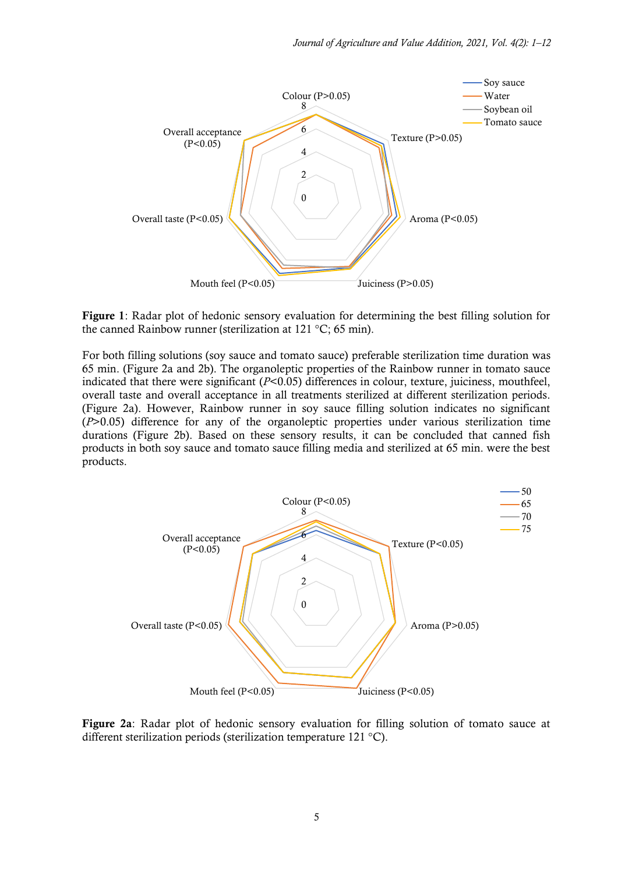

**Figure 1**: Radar plot of hedonic sensory evaluation for determining the best filling solution for the canned Rainbow runner (sterilization at 121 °C; 65 min).

For both filling solutions (soy sauce and tomato sauce) preferable sterilization time duration was 65 min. (Figure 2a and 2b). The organoleptic properties of the Rainbow runner in tomato sauce indicated that there were significant (*P*<0.05) differences in colour, texture, juiciness, mouthfeel, overall taste and overall acceptance in all treatments sterilized at different sterilization periods. (Figure 2a). However, Rainbow runner in soy sauce filling solution indicates no significant (*P*>0.05) difference for any of the organoleptic properties under various sterilization time durations (Figure 2b). Based on these sensory results, it can be concluded that canned fish products in both soy sauce and tomato sauce filling media and sterilized at 65 min. were the best products.



**Figure 2a**: Radar plot of hedonic sensory evaluation for filling solution of tomato sauce at different sterilization periods (sterilization temperature 121 °C).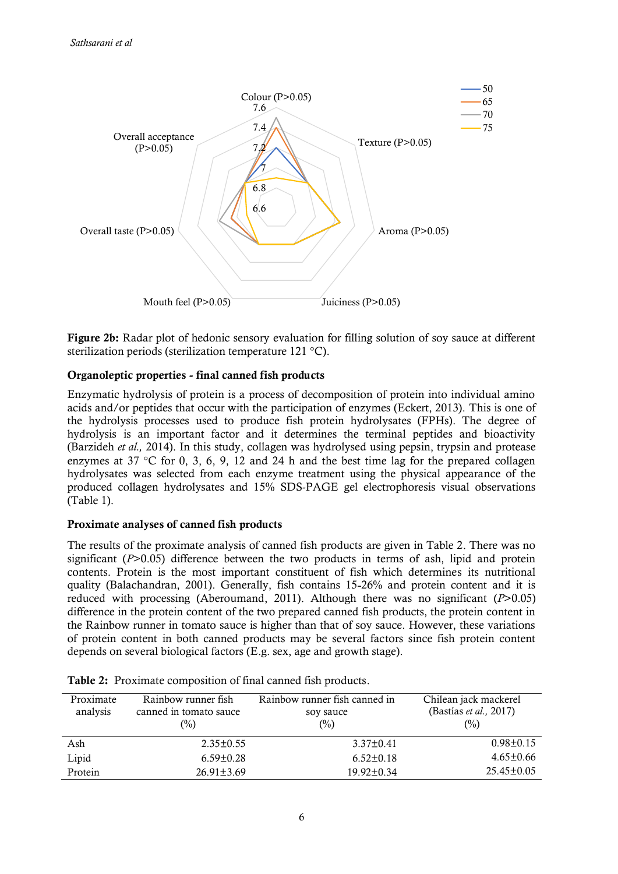

**Figure 2b:** Radar plot of hedonic sensory evaluation for filling solution of soy sauce at different sterilization periods (sterilization temperature 121 °C).

## **Organoleptic properties - final canned fish products**

Enzymatic hydrolysis of protein is a process of decomposition of protein into individual amino acids and/or peptides that occur with the participation of enzymes (Eckert, 2013). This is one of the hydrolysis processes used to produce fish protein hydrolysates (FPHs). The degree of hydrolysis is an important factor and it determines the terminal peptides and bioactivity (Barzideh *et al.,* 2014). In this study, collagen was hydrolysed using pepsin, trypsin and protease enzymes at 37 °C for 0, 3, 6, 9, 12 and 24 h and the best time lag for the prepared collagen hydrolysates was selected from each enzyme treatment using the physical appearance of the produced collagen hydrolysates and 15% SDS-PAGE gel electrophoresis visual observations (Table 1).

## **Proximate analyses of canned fish products**

The results of the proximate analysis of canned fish products are given in Table 2. There was no significant (*P*>0.05) difference between the two products in terms of ash, lipid and protein contents. Protein is the most important constituent of fish which determines its nutritional quality (Balachandran, 2001). Generally, fish contains 15-26% and protein content and it is reduced with processing (Aberoumand, 2011). Although there was no significant (*P*>0.05) difference in the protein content of the two prepared canned fish products, the protein content in the Rainbow runner in tomato sauce is higher than that of soy sauce. However, these variations of protein content in both canned products may be several factors since fish protein content depends on several biological factors (E.g. sex, age and growth stage).

| Proximate<br>analysis | Rainbow runner fish<br>canned in tomato sauce<br>$(\%)$ | Rainbow runner fish canned in<br>soy sauce<br>(%) | Chilean jack mackerel<br>(Bastías et al., 2017)<br>(%) |
|-----------------------|---------------------------------------------------------|---------------------------------------------------|--------------------------------------------------------|
| Ash                   | $2.35 \pm 0.55$                                         | $3.37 \pm 0.41$                                   | $0.98 \pm 0.15$                                        |
| Lipid                 | $6.59 \pm 0.28$                                         | $6.52 \pm 0.18$                                   | $4.65 \pm 0.66$                                        |
| Protein               | $26.91 \pm 3.69$                                        | $19.92 \pm 0.34$                                  | $25.45 \pm 0.05$                                       |

|  |  |  |  |  | Table 2: Proximate composition of final canned fish products. |
|--|--|--|--|--|---------------------------------------------------------------|
|--|--|--|--|--|---------------------------------------------------------------|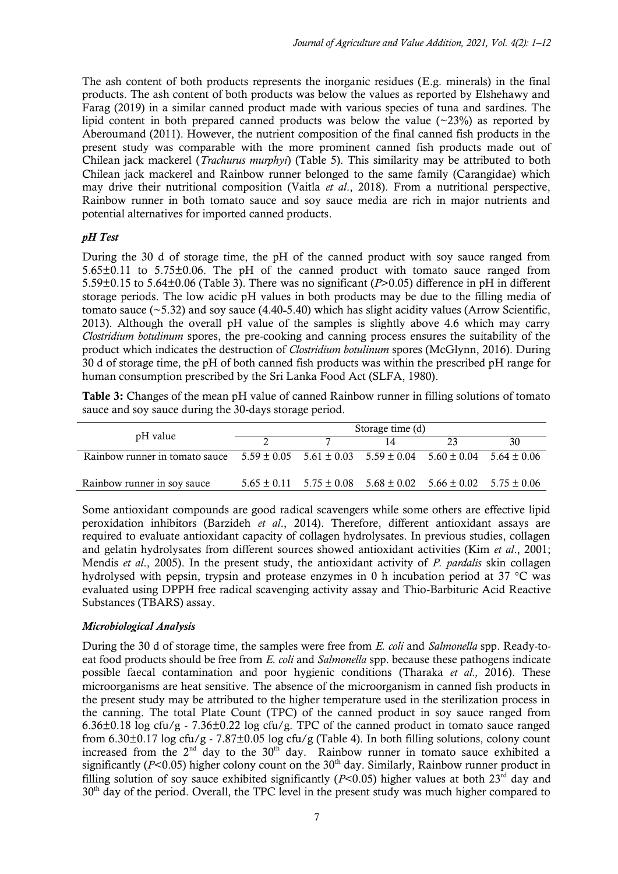The ash content of both products represents the inorganic residues (E.g. minerals) in the final products. The ash content of both products was below the values as reported by Elshehawy and Farag (2019) in a similar canned product made with various species of tuna and sardines. The lipid content in both prepared canned products was below the value ( $\sim$ 23%) as reported by Aberoumand (2011). However, the nutrient composition of the final canned fish products in the present study was comparable with the more prominent canned fish products made out of Chilean jack mackerel (*Trachurus murphyi*) (Table 5). This similarity may be attributed to both Chilean jack mackerel and Rainbow runner belonged to the same family (Carangidae) which may drive their nutritional composition (Vaitla *et al*., 2018). From a nutritional perspective, Rainbow runner in both tomato sauce and soy sauce media are rich in major nutrients and potential alternatives for imported canned products.

## *pH Test*

During the 30 d of storage time, the pH of the canned product with soy sauce ranged from 5.65±0.11 to 5.75±0.06. The pH of the canned product with tomato sauce ranged from 5.59±0.15 to 5.64±0.06 (Table 3). There was no significant (*P*>0.05) difference in pH in different storage periods. The low acidic pH values in both products may be due to the filling media of tomato sauce  $(\sim 5.32)$  and soy sauce (4.40–5.40) which has slight acidity values (Arrow Scientific, 2013). Although the overall pH value of the samples is slightly above 4.6 which may carry *Clostridium botulinum* spores, the pre-cooking and canning process ensures the suitability of the product which indicates the destruction of *Clostridium botulinum* spores (McGlynn, 2016). During 30 d of storage time, the pH of both canned fish products was within the prescribed pH range for human consumption prescribed by the Sri Lanka Food Act (SLFA, 1980).

**Table 3:** Changes of the mean pH value of canned Rainbow runner in filling solutions of tomato sauce and soy sauce during the 30-days storage period.

|                                                                                                                | Storage time (d) |  |                                                                                 |    |    |  |
|----------------------------------------------------------------------------------------------------------------|------------------|--|---------------------------------------------------------------------------------|----|----|--|
| pH value                                                                                                       |                  |  |                                                                                 | 23 | 30 |  |
| Rainbow runner in tomato sauce $5.59 \pm 0.05$ $5.61 \pm 0.03$ $5.59 \pm 0.04$ $5.60 \pm 0.04$ $5.64 \pm 0.06$ |                  |  |                                                                                 |    |    |  |
| Rainbow runner in soy sauce                                                                                    |                  |  | $5.65 \pm 0.11$ $5.75 \pm 0.08$ $5.68 \pm 0.02$ $5.66 \pm 0.02$ $5.75 \pm 0.06$ |    |    |  |

Some antioxidant compounds are good radical scavengers while some others are effective lipid peroxidation inhibitors (Barzideh *et al*., 2014). Therefore, different antioxidant assays are required to evaluate antioxidant capacity of collagen hydrolysates. In previous studies, collagen and gelatin hydrolysates from different sources showed antioxidant activities (Kim *et al*., 2001; Mendis *et al*., 2005). In the present study, the antioxidant activity of *P. pardalis* skin collagen hydrolysed with pepsin, trypsin and protease enzymes in 0 h incubation period at 37 °C was evaluated using DPPH free radical scavenging activity assay and Thio-Barbituric Acid Reactive Substances (TBARS) assay.

### *Microbiological Analysis*

During the 30 d of storage time, the samples were free from *E. coli* and *Salmonella* spp. Ready-toeat food products should be free from *E. coli* and *Salmonella* spp. because these pathogens indicate possible faecal contamination and poor hygienic conditions (Tharaka *et al.,* 2016). These microorganisms are heat sensitive. The absence of the microorganism in canned fish products in the present study may be attributed to the higher temperature used in the sterilization process in the canning. The total Plate Count (TPC) of the canned product in soy sauce ranged from 6.36±0.18 log cfu/g - 7.36±0.22 log cfu/g. TPC of the canned product in tomato sauce ranged from 6.30 $\pm$ 0.17 log cfu/g - 7.87 $\pm$ 0.05 log cfu/g (Table 4). In both filling solutions, colony count increased from the  $2<sup>nd</sup>$  day to the  $30<sup>th</sup>$  day. Rainbow runner in tomato sauce exhibited a significantly ( $P$ <0.05) higher colony count on the  $30<sup>th</sup>$  day. Similarly, Rainbow runner product in filling solution of soy sauce exhibited significantly ( $P<0.05$ ) higher values at both 23<sup>rd</sup> day and  $30<sup>th</sup>$  day of the period. Overall, the TPC level in the present study was much higher compared to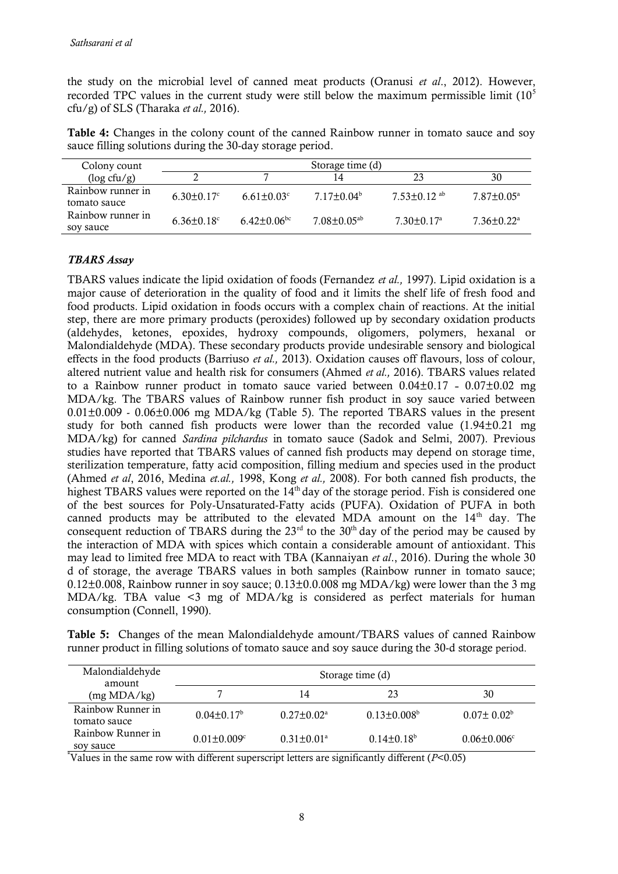the study on the microbial level of canned meat products (Oranusi *et al*., 2012). However, recorded TPC values in the current study were still below the maximum permissible limit  $(10<sup>5</sup>$ cfu/g) of SLS (Tharaka *et al.,* 2016).

**Table 4:** Changes in the colony count of the canned Rainbow runner in tomato sauce and soy sauce filling solutions during the 30-day storage period.

| Colony count                      |                   |                               | Storage time (d)            |                            |                              |
|-----------------------------------|-------------------|-------------------------------|-----------------------------|----------------------------|------------------------------|
| $(\log c f u / g)$                |                   |                               | 14                          | 23                         | 30                           |
| Rainbow runner in<br>tomato sauce | $6.30 \pm 0.17$ ° | $6.61 + 0.03^{\circ}$         | $7.17+0.04b$                | $7.53+0.12$ <sup>ab</sup>  | $7.87 \pm 0.05^{\circ}$      |
| Rainbow runner in<br>soy sauce    | $6.36 + 0.18$ °   | $6.42 \pm 0.06$ <sup>bc</sup> | $7.08 + 0.05$ <sup>ab</sup> | $7.30 + 0.17$ <sup>a</sup> | $7.36 \pm 0.22$ <sup>a</sup> |

### *TBARS Assay*

TBARS values indicate the lipid oxidation of foods (Fernandez *et al.,* 1997). Lipid oxidation is a major cause of deterioration in the quality of food and it limits the shelf life of fresh food and food products. Lipid oxidation in foods occurs with a complex chain of reactions. At the initial step, there are more primary products (peroxides) followed up by secondary oxidation products (aldehydes, ketones, epoxides, hydroxy compounds, oligomers, polymers, hexanal or Malondialdehyde (MDA). These secondary products provide undesirable sensory and biological effects in the food products (Barriuso *et al.,* 2013). Oxidation causes off flavours, loss of colour, altered nutrient value and health risk for consumers (Ahmed *et al.,* 2016). TBARS values related to a Rainbow runner product in tomato sauce varied between  $0.04\pm0.17$  -  $0.07\pm0.02$  mg MDA/kg. The TBARS values of Rainbow runner fish product in soy sauce varied between 0.01±0.009 - 0.06±0.006 mg MDA/kg (Table 5). The reported TBARS values in the present study for both canned fish products were lower than the recorded value (1.94±0.21 mg MDA/kg) for canned *Sardina pilchardus* in tomato sauce (Sadok and Selmi, 2007). Previous studies have reported that TBARS values of canned fish products may depend on storage time, sterilization temperature, fatty acid composition, filling medium and species used in the product (Ahmed *et al*, 2016, Medina *et.al.,* 1998, Kong *et al.,* 2008). For both canned fish products, the highest TBARS values were reported on the 14<sup>th</sup> day of the storage period. Fish is considered one of the best sources for Poly-Unsaturated-Fatty acids (PUFA). Oxidation of PUFA in both canned products may be attributed to the elevated MDA amount on the  $14<sup>th</sup>$  day. The consequent reduction of TBARS during the  $23<sup>rd</sup>$  to the 30<sup>th</sup> day of the period may be caused by the interaction of MDA with spices which contain a considerable amount of antioxidant. This may lead to limited free MDA to react with TBA (Kannaiyan *et al*., 2016). During the whole 30 d of storage, the average TBARS values in both samples (Rainbow runner in tomato sauce; 0.12 $\pm$ 0.008, Rainbow runner in soy sauce; 0.13 $\pm$ 0.0.008 mg MDA/kg) were lower than the 3 mg MDA/kg. TBA value <3 mg of MDA/kg is considered as perfect materials for human consumption (Connell, 1990).

**Table 5:** Changes of the mean Malondialdehyde amount/TBARS values of canned Rainbow runner product in filling solutions of tomato sauce and soy sauce during the 30-d storage period.

| Malondialdehyde<br>amount         |                               |                            | Storage time (d)   |                    |
|-----------------------------------|-------------------------------|----------------------------|--------------------|--------------------|
| (mg MDA/kg)                       |                               | 14                         | 23                 | 30                 |
| Rainbow Runner in<br>tomato sauce | $0.04 \pm 0.17^b$             | $0.27 \pm 0.02^{\text{a}}$ | $0.13 \pm 0.008^b$ | $0.07\pm 0.02^b$   |
| Rainbow Runner in<br>sov sauce    | $0.01 \pm 0.009$ <sup>c</sup> | $0.31 \pm 0.01^a$          | $0.14 \pm 0.18^b$  | $0.06 \pm 0.006$ ° |

\*Values in the same row with different superscript letters are significantly different (*P*<0.05)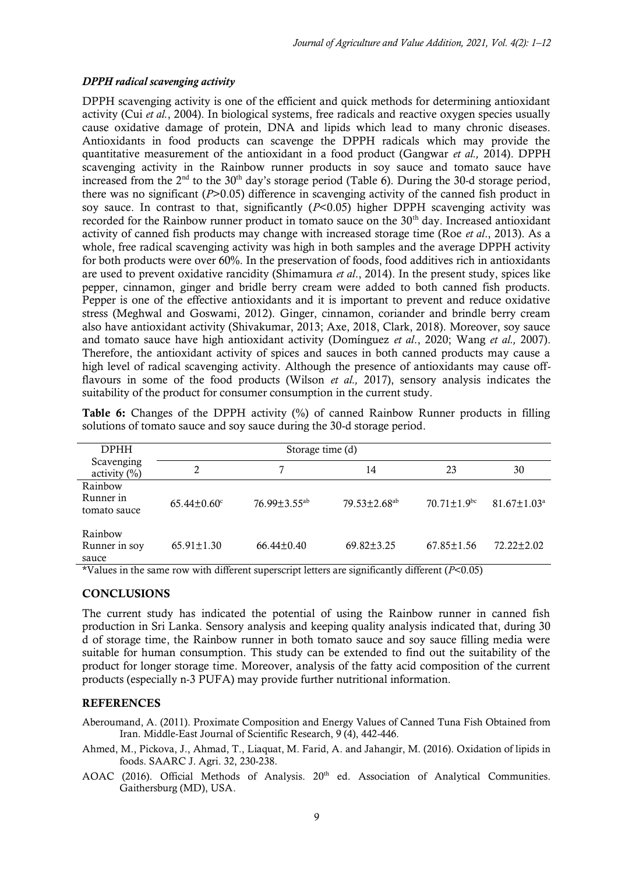### *DPPH radical scavenging activity*

DPPH scavenging activity is one of the efficient and quick methods for determining antioxidant activity (Cui *et al.*, 2004). In biological systems, free radicals and reactive oxygen species usually cause oxidative damage of protein, DNA and lipids which lead to many chronic diseases. Antioxidants in food products can scavenge the DPPH radicals which may provide the quantitative measurement of the antioxidant in a food product (Gangwar *et al.,* 2014). DPPH scavenging activity in the Rainbow runner products in soy sauce and tomato sauce have increased from the  $2<sup>nd</sup>$  to the  $30<sup>th</sup>$  day's storage period (Table 6). During the 30-d storage period, there was no significant (*P*>0.05) difference in scavenging activity of the canned fish product in soy sauce. In contrast to that, significantly (*P*<0.05) higher DPPH scavenging activity was recorded for the Rainbow runner product in tomato sauce on the 30<sup>th</sup> day. Increased antioxidant activity of canned fish products may change with increased storage time (Roe *et al*., 2013). As a whole, free radical scavenging activity was high in both samples and the average DPPH activity for both products were over 60%. In the preservation of foods, food additives rich in antioxidants are used to prevent oxidative rancidity (Shimamura *et al*., 2014). In the present study, spices like pepper, cinnamon, ginger and bridle berry cream were added to both canned fish products. Pepper is one of the effective antioxidants and it is important to prevent and reduce oxidative stress (Meghwal and Goswami, 2012). Ginger, cinnamon, coriander and brindle berry cream also have antioxidant activity (Shivakumar, 2013; Axe, 2018, Clark, 2018). Moreover, soy sauce and tomato sauce have high antioxidant activity (Domínguez *et al*., 2020; Wang *et al.,* 2007). Therefore, the antioxidant activity of spices and sauces in both canned products may cause a high level of radical scavenging activity. Although the presence of antioxidants may cause offflavours in some of the food products (Wilson *et al.,* 2017), sensory analysis indicates the suitability of the product for consumer consumption in the current study.

**Table 6:** Changes of the DPPH activity (%) of canned Rainbow Runner products in filling solutions of tomato sauce and soy sauce during the 30-d storage period.

| <b>DPHH</b>                          |                  |                     |                                |                             |                               |
|--------------------------------------|------------------|---------------------|--------------------------------|-----------------------------|-------------------------------|
| Scavenging<br>activity $(\%)$        | 2                | 7                   | 14                             | 23                          | 30                            |
| Rainbow<br>Runner in<br>tomato sauce | $65.44 \pm 0.60$ | $76.99 + 3.55^{ab}$ | $79.53 \pm 2.68$ <sup>ab</sup> | $70.71 + 1.9$ <sup>bc</sup> | $81.67 \pm 1.03$ <sup>a</sup> |
| Rainbow<br>Runner in soy<br>sauce    | $65.91 \pm 1.30$ | $66.44 \pm 0.40$    | $69.82 \pm 3.25$               | $67.85 \pm 1.56$            | $72.22 + 2.02$                |

\*Values in the same row with different superscript letters are significantly different (*P*<0.05)

### **CONCLUSIONS**

The current study has indicated the potential of using the Rainbow runner in canned fish production in Sri Lanka. Sensory analysis and keeping quality analysis indicated that, during 30 d of storage time, the Rainbow runner in both tomato sauce and soy sauce filling media were suitable for human consumption. This study can be extended to find out the suitability of the product for longer storage time. Moreover, analysis of the fatty acid composition of the current products (especially n-3 PUFA) may provide further nutritional information.

### **REFERENCES**

Aberoumand, A. (2011). Proximate Composition and Energy Values of Canned Tuna Fish Obtained from Iran. Middle-East Journal of Scientific Research, 9 (4), 442-446.

- Ahmed, M., Pickova, J., Ahmad, T., Liaquat, M. Farid, A. and Jahangir, M. (2016). Oxidation of lipids in foods. SAARC J. Agri. 32, 230-238.
- AOAC (2016). Official Methods of Analysis. 20<sup>th</sup> ed. Association of Analytical Communities. Gaithersburg (MD), USA.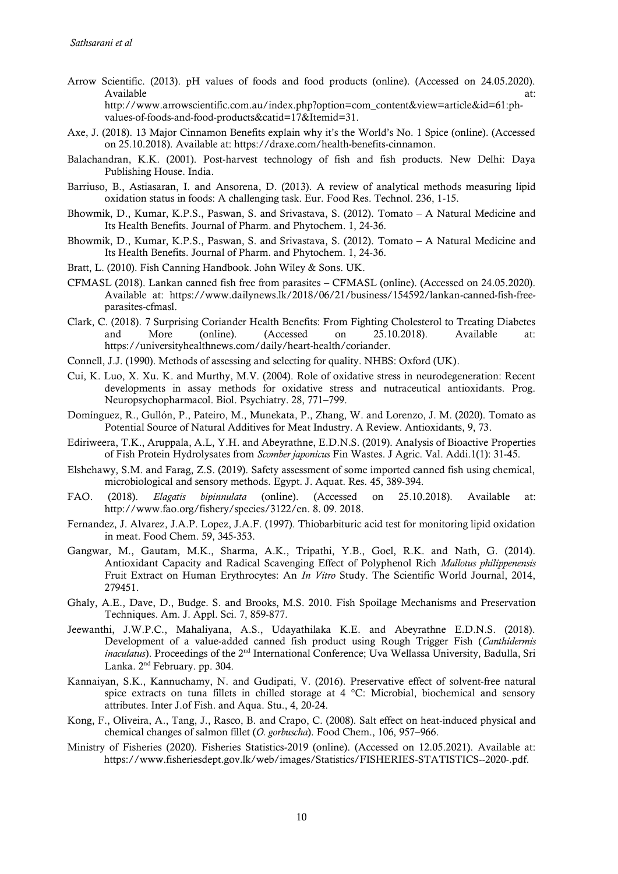- Arrow Scientific. (2013). pH values of foods and food products (online). (Accessed on 24.05.2020). Available at:  $\overline{a}$  at:  $\overline{a}$  at:  $\overline{a}$  at:  $\overline{a}$  at:  $\overline{a}$ http://www.arrowscientific.com.au/index.php?option=com\_content&view=article&id=61:phvalues-of-foods-and-food-products&catid=17&Itemid=31.
- Axe, J. (2018). 13 Major Cinnamon Benefits explain why it's the World's No. 1 Spice (online). (Accessed on 25.10.2018). Available at[: https://draxe.com/health-benefits-cinnamon.](https://draxe.com/health-benefits-cinnamon)
- Balachandran, K.K. (2001). Post-harvest technology of fish and fish products. New Delhi: Daya Publishing House. India.
- Barriuso, B., Astiasaran, I. and Ansorena, D. (2013). A review of analytical methods measuring lipid oxidation status in foods: A challenging task. Eur. Food Res. Technol. 236, 1-15.
- Bhowmik, D., Kumar, K.P.S., Paswan, S. and Srivastava, S. (2012). Tomato A Natural Medicine and Its Health Benefits. Journal of Pharm. and Phytochem. 1, 24-36.
- Bhowmik, D., Kumar, K.P.S., Paswan, S. and Srivastava, S. (2012). Tomato A Natural Medicine and Its Health Benefits. Journal of Pharm. and Phytochem. 1, 24-36.
- Bratt, L. (2010). Fish Canning Handbook. John Wiley & Sons. UK.
- CFMASL (2018). Lankan canned fish free from parasites CFMASL (online). (Accessed on 24.05.2020). Available at: [https://www.dailynews.lk/2018/06/21/business/154592/lankan-canned-fish-free](https://www.dailynews.lk/2018/06/21/business/154592/lankan-canned-fish-free-parasites-cfmasl)[parasites-cfmasl.](https://www.dailynews.lk/2018/06/21/business/154592/lankan-canned-fish-free-parasites-cfmasl)
- Clark, C. (2018). 7 Surprising Coriander Health Benefits: From Fighting Cholesterol to Treating Diabetes and More (online). (Accessed on 25.10.2018). Available at: [https://universityhealthnews.com/daily/heart-health/coriander.](https://universityhealthnews.com/daily/heart-health/coriander)
- Connell, J.J. (1990). Methods of assessing and selecting for quality. NHBS: Oxford (UK).
- Cui, K. Luo, X. Xu. K. and Murthy, M.V. (2004). Role of oxidative stress in neurodegeneration: Recent developments in assay methods for oxidative stress and nutraceutical antioxidants. Prog. Neuropsychopharmacol. Biol. Psychiatry. 28, 771–799.
- Domínguez, R., Gullón, P., Pateiro, M., Munekata, P., Zhang, W. and Lorenzo, J. M. (2020). Tomato as Potential Source of Natural Additives for Meat Industry. A Review. Antioxidants, 9, 73.
- Ediriweera, T.K., Aruppala, A.L, Y.H. and Abeyrathne, E.D.N.S. (2019). Analysis of Bioactive Properties of Fish Protein Hydrolysates from *Scomber japonicus* Fin Wastes. J Agric. Val. Addi.1(1): 31-45.
- Elshehawy, S.M. and Farag, Z.S. (2019). Safety assessment of some imported canned fish using chemical, microbiological and sensory methods. Egypt. J. Aquat. Res. 45, 389-394.
- FAO. (2018). *Elagatis bipinnulata* (online). (Accessed on 25.10.2018). Available at: [http://www.fao.org/fishery/species/3122/en. 8. 09. 2018.](http://www.fao.org/fishery/species/3122/en.%208.%2009.%202018)
- Fernandez, J. Alvarez, J.A.P. Lopez, J.A.F. (1997). Thiobarbituric acid test for monitoring lipid oxidation in meat. Food Chem. 59, 345-353.
- Gangwar, M., Gautam, M.K., Sharma, A.K., Tripathi, Y.B., Goel, R.K. and Nath, G. (2014). Antioxidant Capacity and Radical Scavenging Effect of Polyphenol Rich *Mallotus philippenensis* Fruit Extract on Human Erythrocytes: An *In Vitro* Study. The Scientific World Journal, 2014, 279451.
- Ghaly, A.E., Dave, D., Budge. S. and Brooks, M.S. 2010. Fish Spoilage Mechanisms and Preservation Techniques. Am. J. Appl. Sci. 7, 859-877.
- Jeewanthi, J.W.P.C., Mahaliyana, A.S., Udayathilaka K.E. and Abeyrathne E.D.N.S. (2018). Development of a value-added canned fish product using Rough Trigger Fish (*Canthidermis inaculatus*). Proceedings of the 2<sup>nd</sup> International Conference; Uva Wellassa University, Badulla, Sri Lanka. 2nd February. pp. 304.
- Kannaiyan, S.K., Kannuchamy, N. and Gudipati, V. (2016). Preservative effect of solvent-free natural spice extracts on tuna fillets in chilled storage at 4  $^{\circ}$ C: Microbial, biochemical and sensory attributes. Inter J.of Fish. and Aqua. Stu., 4, 20-24.
- Kong, F., Oliveira, A., Tang, J., Rasco, B. and Crapo, C. (2008). Salt effect on heat-induced physical and chemical changes of salmon fillet (*O. gorbuscha*). Food Chem., 106, 957–966.
- Ministry of Fisheries (2020). Fisheries Statistics-2019 (online). (Accessed on 12.05.2021). Available at: https://www.fisheriesdept.gov.lk/web/images/Statistics/FISHERIES-STATISTICS--2020-.pdf.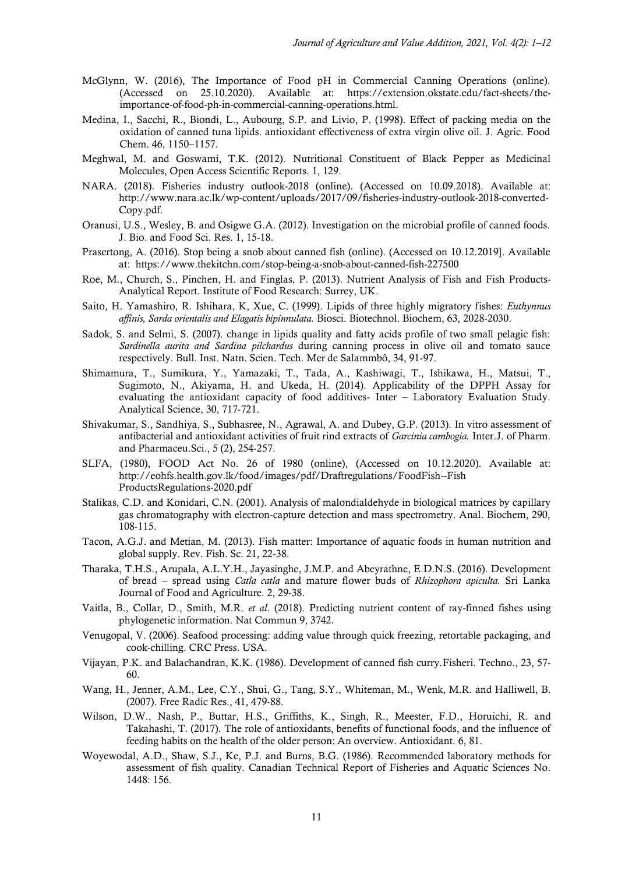- McGlynn, W. (2016), The Importance of Food pH in Commercial Canning Operations (online). (Accessed on 25.10.2020). Available at: [https://extension.okstate.edu/fact-sheets/the](https://extension.okstate.edu/fact-sheets/the-importance-of-food-ph-in-commercial-canning-operations.html)[importance-of-food-ph-in-commercial-canning-operations.html.](https://extension.okstate.edu/fact-sheets/the-importance-of-food-ph-in-commercial-canning-operations.html)
- Medina, I., Sacchi, R., Biondi, L., Aubourg, S.P. and Livio, P. (1998). Effect of packing media on the oxidation of canned tuna lipids. antioxidant effectiveness of extra virgin olive oil. J. Agric. Food Chem. 46, 1150–1157.
- Meghwal, M. and Goswami, T.K. (2012). Nutritional Constituent of Black Pepper as Medicinal Molecules, Open Access Scientific Reports. 1, 129.
- NARA. (2018). Fisheries industry outlook-2018 (online). (Accessed on 10.09.2018). Available at: [http://www.nara.ac.lk/wp-content/uploads/2017/09/fisheries-industry-outlook-2018-converted-](http://www.nara.ac.lk/wp-content/uploads/2017/09/fisheries-industry-outlook-2018-converted-Copy.pdf)[Copy.pdf.](http://www.nara.ac.lk/wp-content/uploads/2017/09/fisheries-industry-outlook-2018-converted-Copy.pdf)
- Oranusi, U.S., Wesley, B. and Osigwe G.A. (2012). Investigation on the microbial profile of canned foods. J. Bio. and Food Sci. Res. 1, 15-18.
- Prasertong, A. (2016). Stop being a snob about canned fish (online). (Accessed on 10.12.2019]. Available at: <https://www.thekitchn.com/stop-being-a-snob-about-canned-fish-227500>
- Roe, M., Church, S., Pinchen, H. and Finglas, P. (2013). Nutrient Analysis of Fish and Fish Products-Analytical Report. Institute of Food Research: Surrey, UK.
- Saito, H. Yamashiro, R. Ishihara, K, Xue, C. (1999). Lipids of three highly migratory fishes: *Euthynnus affinis, Sarda orientalis and Elagatis bipinnulata.* Biosci. Biotechnol. Biochem, 63, 2028-2030.
- Sadok, S. and Selmi, S. (2007). change in lipids quality and fatty acids profile of two small pelagic fish: *Sardinella aurita and Sardina pilchardus* during canning process in olive oil and tomato sauce respectively. Bull. Inst. Natn. Scien. Tech. Mer de Salammbô, 34, 91-97.
- Shimamura, T., Sumikura, Y., Yamazaki, T., Tada, A., Kashiwagi, T., Ishikawa, H., Matsui, T., Sugimoto, N., Akiyama, H. and Ukeda, H. (2014). Applicability of the DPPH Assay for evaluating the antioxidant capacity of food additives- Inter – Laboratory Evaluation Study. Analytical Science, 30, 717-721.
- Shivakumar, S., Sandhiya, S., Subhasree, N., Agrawal, A. and Dubey, G.P. (2013). In vitro assessment of antibacterial and antioxidant activities of fruit rind extracts of *Garcinia cambogia.* Inter.J. of Pharm. and Pharmaceu.Sci., 5 (2), 254-257.
- SLFA, (1980), FOOD Act No. 26 of 1980 (online), (Accessed on 10.12.2020). Available at: <http://eohfs.health.gov.lk/food/images/pdf/Draftregulations/FoodFish--Fish> ProductsRegulations-2020.pdf
- Stalikas, C.D. and Konidari, C.N. (2001). Analysis of malondialdehyde in biological matrices by capillary gas chromatography with electron-capture detection and mass spectrometry. Anal. Biochem, 290, 108-115.
- Tacon, A.G.J. and Metian, M. (2013). Fish matter: Importance of aquatic foods in human nutrition and global supply. Rev. Fish. Sc. 21, 22-38.
- Tharaka, T.H.S., Arupala, A.L.Y.H., Jayasinghe, J.M.P. and Abeyrathne, E.D.N.S. (2016). Development of bread – spread using *Catla catla* and mature flower buds of *Rhizophora apiculta.* Sri Lanka Journal of Food and Agriculture. 2, 29-38.
- Vaitla, B., Collar, D., Smith, M.R. *et al*. (2018). Predicting nutrient content of ray-finned fishes using phylogenetic information. Nat Commun 9, 3742.
- Venugopal, V. (2006). Seafood processing: adding value through quick freezing, retortable packaging, and cook-chilling. CRC Press. USA.
- Vijayan, P.K. and Balachandran, K.K. (1986). Development of canned fish curry.Fisheri. Techno., 23, 57- 60.
- Wang, H., Jenner, A.M., Lee, C.Y., Shui, G., Tang, S.Y., Whiteman, M., Wenk, M.R. and Halliwell, B. (2007). Free Radic Res., 41, 479-88.
- Wilson, D.W., Nash, P., Buttar, H.S., Griffiths, K., Singh, R., Meester, F.D., Horuichi, R. and Takahashi, T. (2017). The role of antioxidants, benefits of functional foods, and the influence of feeding habits on the health of the older person: An overview. Antioxidant. 6, 81.
- Woyewodal, A.D., Shaw, S.J., Ke, P.J. and Burns, B.G. (1986). Recommended laboratory methods for assessment of fish quality. Canadian Technical Report of Fisheries and Aquatic Sciences No. 1448: 156.